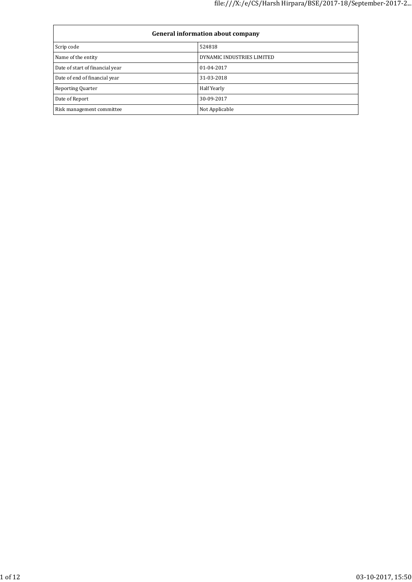| <b>General information about company</b> |                            |  |  |  |
|------------------------------------------|----------------------------|--|--|--|
| Scrip code                               | 524818                     |  |  |  |
| Name of the entity                       | DYNAMIC INDUSTRIES LIMITED |  |  |  |
| Date of start of financial year          | 01-04-2017                 |  |  |  |
| Date of end of financial year            | 31-03-2018                 |  |  |  |
| <b>Reporting Quarter</b>                 | Half Yearly                |  |  |  |
| Date of Report                           | 30-09-2017                 |  |  |  |
| Risk management committee                | Not Applicable             |  |  |  |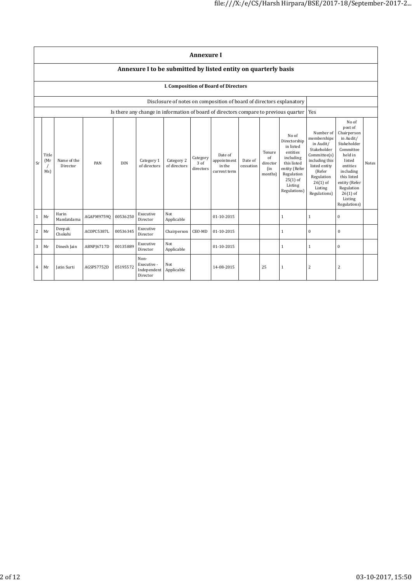|    | <b>Annexure I</b>                                              |                         |            |            |                                                |                            |                               |                                                                                      |                      |                                            |                                                                                                                                                    |                                                                                                                                                                          |                                                                                                                                                                                                               |       |
|----|----------------------------------------------------------------|-------------------------|------------|------------|------------------------------------------------|----------------------------|-------------------------------|--------------------------------------------------------------------------------------|----------------------|--------------------------------------------|----------------------------------------------------------------------------------------------------------------------------------------------------|--------------------------------------------------------------------------------------------------------------------------------------------------------------------------|---------------------------------------------------------------------------------------------------------------------------------------------------------------------------------------------------------------|-------|
|    | Annexure I to be submitted by listed entity on quarterly basis |                         |            |            |                                                |                            |                               |                                                                                      |                      |                                            |                                                                                                                                                    |                                                                                                                                                                          |                                                                                                                                                                                                               |       |
|    |                                                                |                         |            |            |                                                |                            |                               | I. Composition of Board of Directors                                                 |                      |                                            |                                                                                                                                                    |                                                                                                                                                                          |                                                                                                                                                                                                               |       |
|    |                                                                |                         |            |            |                                                |                            |                               | Disclosure of notes on composition of board of directors explanatory                 |                      |                                            |                                                                                                                                                    |                                                                                                                                                                          |                                                                                                                                                                                                               |       |
|    |                                                                |                         |            |            |                                                |                            |                               | Is there any change in information of board of directors compare to previous quarter |                      |                                            |                                                                                                                                                    | Yes                                                                                                                                                                      |                                                                                                                                                                                                               |       |
| Sr | Title<br>(Mr<br>$\prime$<br>Ms)                                | Name of the<br>Director | PAN        | <b>DIN</b> | Category 1<br>of directors                     | Category 2<br>of directors | Category<br>3 of<br>directors | Date of<br>appointment<br>in the<br>current term                                     | Date of<br>cessation | Tenure<br>of<br>director<br>(in<br>months) | No of<br>Directorship<br>in listed<br>entities<br>including<br>this listed<br>entity (Refer<br>Regulation<br>$25(1)$ of<br>Listing<br>Regulations) | Number of<br>memberships<br>in Audit/<br>Stakeholder<br>Committee(s)<br>including this<br>listed entity<br>(Refer<br>Regulation<br>$26(1)$ of<br>Listing<br>Regulations) | No of<br>post of<br>Chairperson<br>in Audit/<br>Stakeholder<br>Committee<br>held in<br>listed<br>entities<br>including<br>this listed<br>entity (Refer<br>Regulation<br>$26(1)$ of<br>Listing<br>Regulations) | Notes |
| 1  | Mr                                                             | Harin<br>Mamlatdarna    | AGAPM97590 | 00536250   | Executive<br>Director                          | Not<br>Applicable          |                               | 01-10-2015                                                                           |                      |                                            | $\mathbf{1}$                                                                                                                                       | $\mathbf{1}$                                                                                                                                                             | $\boldsymbol{0}$                                                                                                                                                                                              |       |
| 2  | Mr                                                             | Deepak<br>Chokshi       | ACOPC5387L | 00536345   | Executive<br>Director                          | Chairperson                | CEO-MD                        | 01-10-2015                                                                           |                      |                                            | $\mathbf{1}$                                                                                                                                       | $\mathbf{0}$                                                                                                                                                             | $\mathbf{0}$                                                                                                                                                                                                  |       |
| 3  | Mr                                                             | Dinesh Jain             | ABNPJ6717D | 00135889   | Executive<br>Director                          | Not<br>Applicable          |                               | 01-10-2015                                                                           |                      |                                            | $\mathbf{1}$                                                                                                                                       | $\mathbf{1}$                                                                                                                                                             | $\mathbf{0}$                                                                                                                                                                                                  |       |
| 4  | Mr                                                             | Jatin Surti             | AGSPS7752D | 05195572   | Non-<br>Executive -<br>Independent<br>Director | Not<br>Applicable          |                               | 14-08-2015                                                                           |                      | 25                                         | 1                                                                                                                                                  | 2                                                                                                                                                                        | 2                                                                                                                                                                                                             |       |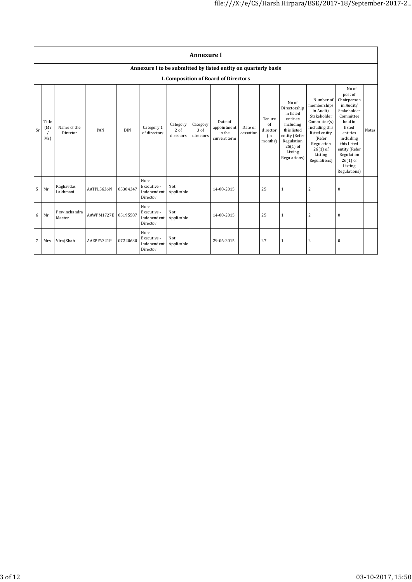|    | <b>Annexure I</b>    |                         |            |            |                                                                |                               |                               |                                                  |                      |                                                    |                                                                                                                                                    |                                                                                                                                                                          |                                                                                                                                                                                                               |       |
|----|----------------------|-------------------------|------------|------------|----------------------------------------------------------------|-------------------------------|-------------------------------|--------------------------------------------------|----------------------|----------------------------------------------------|----------------------------------------------------------------------------------------------------------------------------------------------------|--------------------------------------------------------------------------------------------------------------------------------------------------------------------------|---------------------------------------------------------------------------------------------------------------------------------------------------------------------------------------------------------------|-------|
|    |                      |                         |            |            | Annexure I to be submitted by listed entity on quarterly basis |                               |                               |                                                  |                      |                                                    |                                                                                                                                                    |                                                                                                                                                                          |                                                                                                                                                                                                               |       |
|    |                      |                         |            |            |                                                                |                               |                               | <b>I. Composition of Board of Directors</b>      |                      |                                                    |                                                                                                                                                    |                                                                                                                                                                          |                                                                                                                                                                                                               |       |
| Sr | Title<br>(Mr)<br>Ms) | Name of the<br>Director | PAN        | <b>DIN</b> | Category 1<br>of directors                                     | Category<br>2 of<br>directors | Category<br>3 of<br>directors | Date of<br>appointment<br>in the<br>current term | Date of<br>cessation | Tenure<br>$\sigma$ f<br>director<br>(in<br>months) | No of<br>Directorship<br>in listed<br>entities<br>including<br>this listed<br>entity (Refer<br>Regulation<br>$25(1)$ of<br>Listing<br>Regulations) | Number of<br>memberships<br>in Audit/<br>Stakeholder<br>Committee(s)<br>including this<br>listed entity<br>(Refer<br>Regulation<br>$26(1)$ of<br>Listing<br>Regulations) | No of<br>post of<br>Chairperson<br>in Audit/<br>Stakeholder<br>Committee<br>held in<br>listed<br>entities<br>including<br>this listed<br>entity (Refer<br>Regulation<br>$26(1)$ of<br>Listing<br>Regulations) | Notes |
| 5  | Mr                   | Raghavdas<br>Lakhmani   | AATPL5636N | 05304347   | Non-<br>Executive -<br>Independent<br>Director                 | Not<br>Applicable             |                               | 14-08-2015                                       |                      | 25                                                 | $\mathbf{1}$                                                                                                                                       | $\overline{c}$                                                                                                                                                           | 0                                                                                                                                                                                                             |       |
| 6  | Mr                   | Pravinchandra<br>Master | AAWPM1727E | 05195587   | Non-<br>Executive -<br>Independent<br>Director                 | Not<br>Applicable             |                               | 14-08-2015                                       |                      | 25                                                 | $\mathbf{1}$                                                                                                                                       | $\overline{c}$                                                                                                                                                           | 0                                                                                                                                                                                                             |       |
| 7  | Mrs                  | Viraj Shah              | AAEPF6321P | 07220630   | Non-<br>Executive -<br>Independent<br>Director                 | Not<br>Applicable             |                               | 29-06-2015                                       |                      | 27                                                 | $\mathbf{1}$                                                                                                                                       | $\overline{c}$                                                                                                                                                           | 0                                                                                                                                                                                                             |       |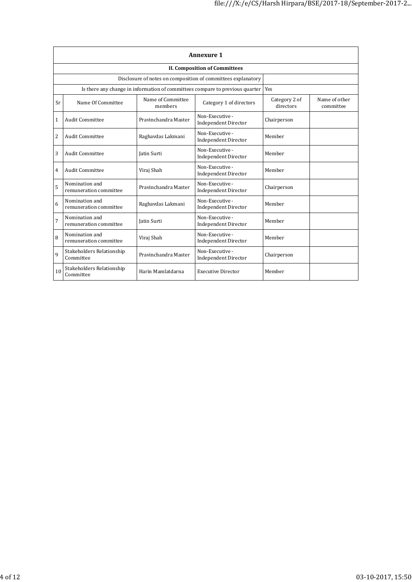|                | <b>Annexure 1</b>                                            |                              |                                                                                    |                            |                            |  |  |  |  |
|----------------|--------------------------------------------------------------|------------------------------|------------------------------------------------------------------------------------|----------------------------|----------------------------|--|--|--|--|
|                | <b>II. Composition of Committees</b>                         |                              |                                                                                    |                            |                            |  |  |  |  |
|                | Disclosure of notes on composition of committees explanatory |                              |                                                                                    |                            |                            |  |  |  |  |
|                |                                                              |                              | Is there any change in information of committees compare to previous quarter   Yes |                            |                            |  |  |  |  |
| Sr             | Name Of Committee                                            | Name of Committee<br>members | Category 1 of directors                                                            | Category 2 of<br>directors | Name of other<br>committee |  |  |  |  |
| $\mathbf{1}$   | <b>Audit Committee</b>                                       | Pravinchandra Master         | Non-Executive -<br><b>Independent Director</b>                                     | Chairperson                |                            |  |  |  |  |
| $\overline{c}$ | <b>Audit Committee</b>                                       | Raghavdas Lakmani            | Non-Executive -<br><b>Independent Director</b>                                     | Member                     |                            |  |  |  |  |
| 3              | <b>Audit Committee</b>                                       | <b>Iatin Surti</b>           | Non-Executive -<br><b>Independent Director</b>                                     | Member                     |                            |  |  |  |  |
| 4              | <b>Audit Committee</b>                                       | Viraj Shah                   | Non-Executive -<br><b>Independent Director</b>                                     | Member                     |                            |  |  |  |  |
| 5              | Nomination and<br>remuneration committee                     | Pravinchandra Master         | Non-Executive -<br><b>Independent Director</b>                                     | Chairperson                |                            |  |  |  |  |
| 6              | Nomination and<br>remuneration committee                     | Raghavdas Lakmani            | Non-Executive -<br><b>Independent Director</b>                                     | Member                     |                            |  |  |  |  |
| 7              | Nomination and<br>remuneration committee                     | <b>Iatin Surti</b>           | Non-Executive -<br><b>Independent Director</b>                                     | Member                     |                            |  |  |  |  |
| 8              | Nomination and<br>remuneration committee                     | Viraj Shah                   | Non-Executive -<br><b>Independent Director</b>                                     | Member                     |                            |  |  |  |  |
| $\mathbf{q}$   | Stakeholders Relationship<br>Committee                       | Pravinchandra Master         | Non-Executive -<br><b>Independent Director</b>                                     | Chairperson                |                            |  |  |  |  |
| 10             | Stakeholders Relationship<br>Committee                       | Harin Mamlatdarna            | <b>Executive Director</b>                                                          | Member                     |                            |  |  |  |  |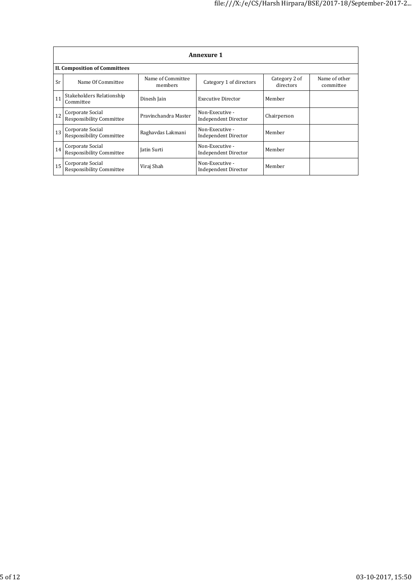|    | <b>Annexure 1</b>                            |                              |                                                |                            |                            |  |  |  |
|----|----------------------------------------------|------------------------------|------------------------------------------------|----------------------------|----------------------------|--|--|--|
|    | <b>II. Composition of Committees</b>         |                              |                                                |                            |                            |  |  |  |
| Sr | Name Of Committee                            | Name of Committee<br>members | Category 1 of directors                        | Category 2 of<br>directors | Name of other<br>committee |  |  |  |
| 11 | Stakeholders Relationship<br>Committee       | Dinesh Jain                  | <b>Executive Director</b>                      | Member                     |                            |  |  |  |
| 12 | Corporate Social<br>Responsibility Committee | Pravinchandra Master         | Non-Executive -<br><b>Independent Director</b> | Chairperson                |                            |  |  |  |
| 13 | Corporate Social<br>Responsibility Committee | Raghavdas Lakmani            | Non-Executive -<br>Independent Director        | Member                     |                            |  |  |  |
| 14 | Corporate Social<br>Responsibility Committee | Jatin Surti                  | Non-Executive -<br>Independent Director        | Member                     |                            |  |  |  |
| 15 | Corporate Social<br>Responsibility Committee | Viraj Shah                   | Non-Executive -<br>Independent Director        | Member                     |                            |  |  |  |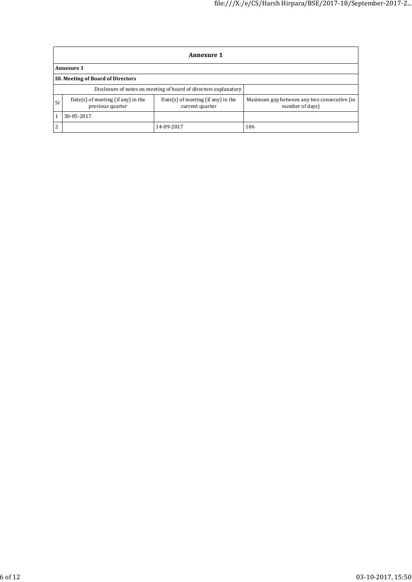|                | <b>Annexure 1</b>                                                |                                                         |                                                                |  |  |  |  |
|----------------|------------------------------------------------------------------|---------------------------------------------------------|----------------------------------------------------------------|--|--|--|--|
|                | <b>Annexure 1</b>                                                |                                                         |                                                                |  |  |  |  |
|                | III. Meeting of Board of Directors                               |                                                         |                                                                |  |  |  |  |
|                | Disclosure of notes on meeting of board of directors explanatory |                                                         |                                                                |  |  |  |  |
| Sr             | Date(s) of meeting (if any) in the<br>previous quarter           | $Date(s)$ of meeting (if any) in the<br>current quarter | Maximum gap between any two consecutive (in<br>number of days) |  |  |  |  |
|                | 30-05-2017                                                       |                                                         |                                                                |  |  |  |  |
| $\overline{2}$ |                                                                  | 14-09-2017                                              | 106                                                            |  |  |  |  |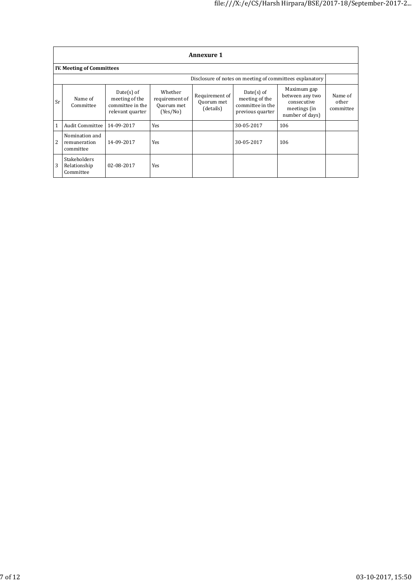|                | <b>Annexure 1</b>                                |                                                                        |                                                     |                                           |                                                                        |                                                                                  |                               |  |
|----------------|--------------------------------------------------|------------------------------------------------------------------------|-----------------------------------------------------|-------------------------------------------|------------------------------------------------------------------------|----------------------------------------------------------------------------------|-------------------------------|--|
|                | <b>IV. Meeting of Committees</b>                 |                                                                        |                                                     |                                           |                                                                        |                                                                                  |                               |  |
|                |                                                  |                                                                        |                                                     |                                           |                                                                        | Disclosure of notes on meeting of committees explanatory                         |                               |  |
| Sr             | Name of<br>Committee                             | $Date(s)$ of<br>meeting of the<br>committee in the<br>relevant quarter | Whether<br>requirement of<br>Quorum met<br>(Yes/No) | Requirement of<br>Quorum met<br>(details) | $Date(s)$ of<br>meeting of the<br>committee in the<br>previous quarter | Maximum gap<br>between any two<br>consecutive<br>meetings (in<br>number of days) | Name of<br>other<br>committee |  |
|                | Audit Committee                                  | 14-09-2017                                                             | Yes                                                 |                                           | 30-05-2017                                                             | 106                                                                              |                               |  |
| $\overline{2}$ | Nomination and<br>remuneration<br>committee      | 14-09-2017                                                             | Yes                                                 |                                           | 30-05-2017                                                             | 106                                                                              |                               |  |
| 3              | <b>Stakeholders</b><br>Relationship<br>Committee | 02-08-2017                                                             | Yes                                                 |                                           |                                                                        |                                                                                  |                               |  |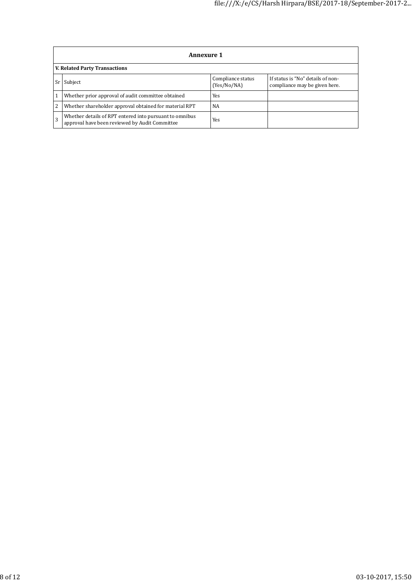|                                      | <b>Annexure 1</b>                                                                                         |                                  |                                                                    |  |  |  |  |
|--------------------------------------|-----------------------------------------------------------------------------------------------------------|----------------------------------|--------------------------------------------------------------------|--|--|--|--|
| <b>V. Related Party Transactions</b> |                                                                                                           |                                  |                                                                    |  |  |  |  |
|                                      | Subject                                                                                                   | Compliance status<br>(Yes/No/NA) | If status is "No" details of non-<br>compliance may be given here. |  |  |  |  |
|                                      | Whether prior approval of audit committee obtained                                                        | Yes                              |                                                                    |  |  |  |  |
| 2                                    | Whether shareholder approval obtained for material RPT                                                    | NA                               |                                                                    |  |  |  |  |
|                                      | Whether details of RPT entered into pursuant to omnibus<br>approval have been reviewed by Audit Committee | Yes                              |                                                                    |  |  |  |  |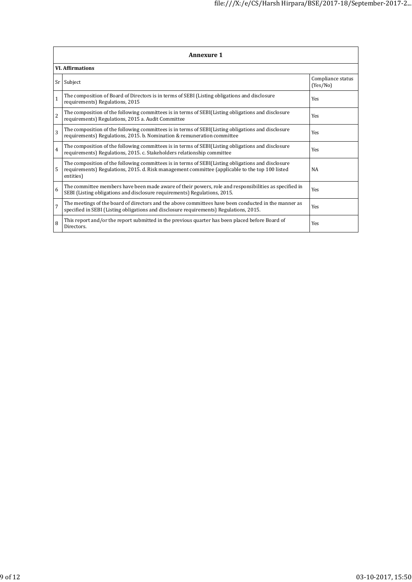|                | Annexure 1                                                                                                                                                                                                         |                               |  |  |  |  |  |
|----------------|--------------------------------------------------------------------------------------------------------------------------------------------------------------------------------------------------------------------|-------------------------------|--|--|--|--|--|
|                | <b>VI.</b> Affirmations                                                                                                                                                                                            |                               |  |  |  |  |  |
| Sr I           | Subject                                                                                                                                                                                                            | Compliance status<br>(Yes/No) |  |  |  |  |  |
| $\mathbf{1}$   | The composition of Board of Directors is in terms of SEBI (Listing obligations and disclosure<br>requirements) Regulations, 2015                                                                                   | Yes                           |  |  |  |  |  |
| $\overline{2}$ | The composition of the following committees is in terms of SEBI(Listing obligations and disclosure<br>requirements) Regulations, 2015 a. Audit Committee                                                           | Yes                           |  |  |  |  |  |
| $\overline{3}$ | The composition of the following committees is in terms of SEBI(Listing obligations and disclosure<br>requirements) Regulations, 2015. b. Nomination & remuneration committee                                      | Yes                           |  |  |  |  |  |
| $\overline{4}$ | The composition of the following committees is in terms of SEBI(Listing obligations and disclosure<br>requirements) Regulations, 2015. c. Stakeholders relationship committee                                      | Yes                           |  |  |  |  |  |
| 5              | The composition of the following committees is in terms of SEBI(Listing obligations and disclosure<br>requirements) Regulations, 2015. d. Risk management committee (applicable to the top 100 listed<br>entities) | NA                            |  |  |  |  |  |
| 6              | The committee members have been made aware of their powers, role and responsibilities as specified in<br>SEBI (Listing obligations and disclosure requirements) Regulations, 2015.                                 | Yes                           |  |  |  |  |  |
| $\overline{7}$ | The meetings of the board of directors and the above committees have been conducted in the manner as<br>specified in SEBI (Listing obligations and disclosure requirements) Regulations, 2015.                     | Yes                           |  |  |  |  |  |
| 8              | This report and/or the report submitted in the previous quarter has been placed before Board of<br>Directors.                                                                                                      | Yes                           |  |  |  |  |  |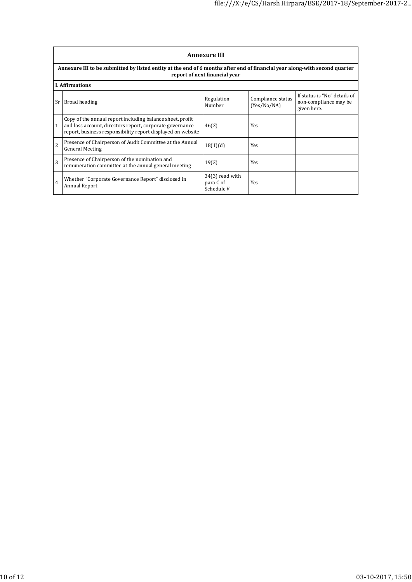|                | <b>Annexure III</b>                                                                                                                                                                  |                                              |                                  |                                                                      |  |  |  |  |
|----------------|--------------------------------------------------------------------------------------------------------------------------------------------------------------------------------------|----------------------------------------------|----------------------------------|----------------------------------------------------------------------|--|--|--|--|
|                | Annexure III to be submitted by listed entity at the end of 6 months after end of financial year along-with second quarter<br>report of next financial year                          |                                              |                                  |                                                                      |  |  |  |  |
|                | <b>I.</b> Affirmations                                                                                                                                                               |                                              |                                  |                                                                      |  |  |  |  |
| Sr l           | Broad heading                                                                                                                                                                        | Regulation<br>Number                         | Compliance status<br>(Yes/No/NA) | If status is "No" details of<br>non-compliance may be<br>given here. |  |  |  |  |
|                | Copy of the annual report including balance sheet, profit<br>and loss account, directors report, corporate governance<br>report, business responsibility report displayed on website | 46(2)                                        | Yes                              |                                                                      |  |  |  |  |
| $\overline{c}$ | Presence of Chairperson of Audit Committee at the Annual<br><b>General Meeting</b>                                                                                                   | 18(1)(d)                                     | <b>Yes</b>                       |                                                                      |  |  |  |  |
| 3              | Presence of Chairperson of the nomination and<br>remuneration committee at the annual general meeting                                                                                | 19(3)                                        | Yes                              |                                                                      |  |  |  |  |
| $\overline{4}$ | Whether "Corporate Governance Report" disclosed in<br><b>Annual Report</b>                                                                                                           | $34(3)$ read with<br>para C of<br>Schedule V | Yes                              |                                                                      |  |  |  |  |